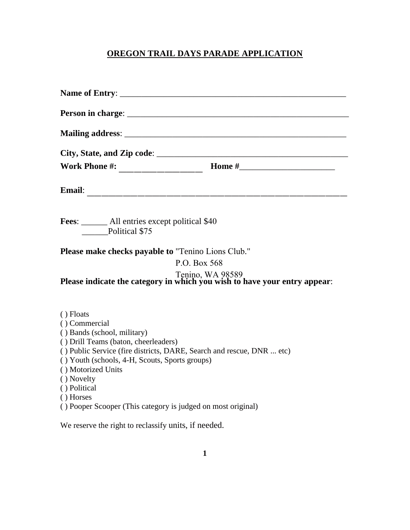## **OREGON TRAIL DAYS PARADE APPLICATION**

| <b>Fees:</b> All entries except political \$40<br>Political \$75                                                                                                                                                                                                                                                                                              |                                                                                               |  |
|---------------------------------------------------------------------------------------------------------------------------------------------------------------------------------------------------------------------------------------------------------------------------------------------------------------------------------------------------------------|-----------------------------------------------------------------------------------------------|--|
| <b>Please make checks payable to "Tenino Lions Club."</b>                                                                                                                                                                                                                                                                                                     | P.O. Box 568                                                                                  |  |
|                                                                                                                                                                                                                                                                                                                                                               | Tenino, WA 98589<br>Please indicate the category in which you wish to have your entry appear: |  |
| () Floats<br>() Commercial<br>() Bands (school, military)<br>() Drill Teams (baton, cheerleaders)<br>() Public Service (fire districts, DARE, Search and rescue, DNR  etc)<br>() Youth (schools, 4-H, Scouts, Sports groups)<br>() Motorized Units<br>() Novelty<br>() Political<br>() Horses<br>() Pooper Scooper (This category is judged on most original) |                                                                                               |  |
| We reserve the right to reclassify units, if needed.                                                                                                                                                                                                                                                                                                          |                                                                                               |  |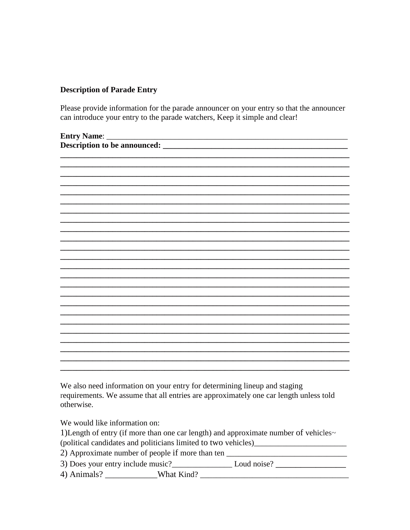## **Description of Parade Entry**

Please provide information for the parade announcer on your entry so that the announcer can introduce your entry to the parade watchers, Keep it simple and clear!

| <b>Entry Name:</b>           |
|------------------------------|
| Description to be announced: |
|                              |
|                              |
|                              |
|                              |
|                              |
|                              |
|                              |
|                              |
|                              |
|                              |
|                              |
|                              |
|                              |
|                              |
|                              |
|                              |
|                              |
|                              |
|                              |
|                              |
|                              |
|                              |
|                              |
|                              |
|                              |

We also need information on your entry for determining lineup and staging requirements. We assume that all entries are approximately one car length unless told otherwise.

We would like information on:

1) Length of entry (if more than one car length) and approximate number of vehicles~

(political candidates and politicians limited to two vehicles)\_\_\_\_\_\_\_\_\_\_\_\_\_\_\_\_\_\_\_

2) Approximate number of people if more than ten

3) Does your entry include music?<br>
Loud noise?